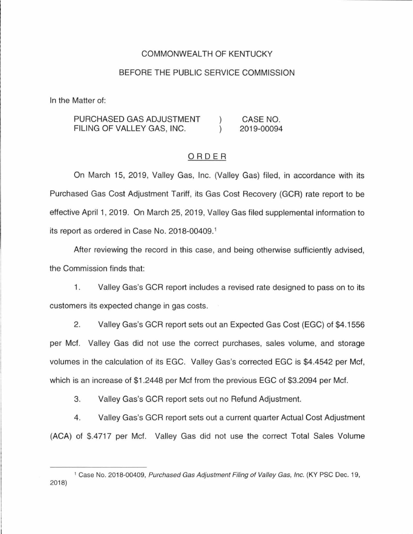## COMMONWEALTH OF KENTUCKY

#### BEFORE THE PUBLIC SERVICE COMMISSION

In the Matter of:

PURCHASED GAS ADJUSTMENT CASE NO.  $\mathcal{C}$ FILING OF VALLEY GAS, INC.  $\lambda$ 2019-00094

## ORDER

On March 15, 2019, Valley Gas, Inc. (Valley Gas) filed, in accordance with its Purchased Gas Cost Adjustment Tariff, its Gas Cost Recovery (GCR) rate report to be effective April 1, 2019. On March 25, 2019, Valley Gas filed supplemental information to its report as ordered in Case No. 2018-00409.<sup>1</sup>

After reviewing the record in this case, and being otherwise sufficiently advised, the Commission finds that:

1. Valley Gas's GCR report includes a revised rate designed to pass on to its customers its expected change in gas costs.

2. Valley Gas's GCR report sets out an Expected Gas Cost (EGC) of \$4.1556 per Met. Valley Gas did not use the correct purchases, sales volume, and storage volumes in the calculation of its EGC. Valley Gas's corrected EGC is \$4.4542 per Met, which is an increase of \$1 .2448 per Met from the previous EGC of \$3.2094 per Met.

3. Valley Gas's GCR report sets out no Refund Adjustment.

4. Valley Gas's GCR report sets out a current quarter Actual Cost Adjustment (ACA) of \$.4717 per Met. Valley Gas did not use the correct Total Sales Volume

<sup>1</sup>Case No. 2018-00409, Purchased Gas Adjustment Filing of Valley Gas, Inc. (KY PSC Dec. 19, 2018)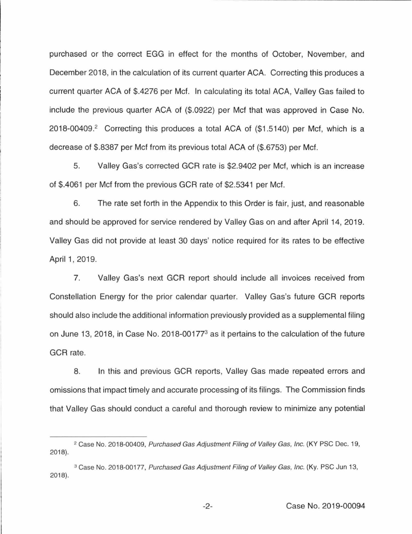purchased or the correct EGG in effect for the months of October, November, and December 2018, in the calculation of its current quarter ACA. Correcting this produces a current quarter ACA of \$.4276 per Met. In calculating its total ACA, Valley Gas failed to include the previous quarter ACA of (\$.0922) per Met that was approved in Case No. 2018-00409.<sup>2</sup> Correcting this produces a total ACA of (\$1.5140) per Mcf, which is a decrease of \$.8387 per Met from its previous total ACA of (\$.6753) per Met.

5. Valley Gas's corrected GCR rate is \$2.9402 per Met, which is an increase of \$.4061 per Met from the previous GCR rate of \$2.5341 per Met.

6. The rate set forth in the Appendix to this Order is fair, just, and reasonable and should be approved for service rendered by Valley Gas on and after April 14, 2019. Valley Gas did not provide at least 30 days' notice required for its rates to be effective April 1, 2019.

7. Valley Gas's next GCR report should include all invoices received from Constellation Energy for the prior calendar quarter. Valley Gas's future GCR reports should also include the additional information previously provided as a supplemental filing on June 13, 2018, in Case No. 2018-00177<sup>3</sup> as it pertains to the calculation of the future GCR rate.

8. In this and previous GCR reports, Valley Gas made repeated errors and omissions that impact timely and accurate processing of its filings. The Commission finds that Valley Gas should conduct a careful and thorough review to minimize any potential

<sup>&</sup>lt;sup>2</sup> Case No. 2018-00409, Purchased Gas Adjustment Filing of Valley Gas, Inc. (KY PSC Dec. 19, 2018).

<sup>&</sup>lt;sup>3</sup> Case No. 2018-00177, Purchased Gas Adjustment Filing of Valley Gas, Inc. (Ky. PSC Jun 13, 2018).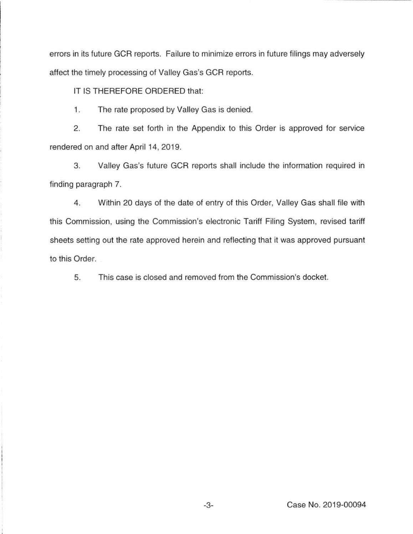errors in its future GCR reports. Failure to minimize errors in future filings may adversely affect the timely processing of Valley Gas's GCR reports.

IT IS THEREFORE ORDERED that:

1. The rate proposed by Valley Gas is denied.

2. The rate set forth in the Appendix to this Order is approved for service rendered on and after April 14, 2019.

3. Valley Gas's future GCR reports shall include the information required in finding paragraph 7.

4. Within 20 days of the date of entry of this Order, Valley Gas shall file with this Commission, using the Commission's electronic Tariff Filing System, revised tariff sheets setting out the rate approved herein and reflecting that it was approved pursuant to this Order.

5. This case is closed and removed from the Commission's docket.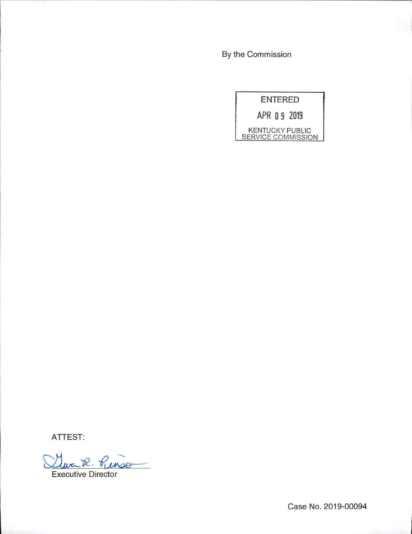By the Commission



ATTEST:

<u>Murch R. Punson</u>

Case No. 2019-00094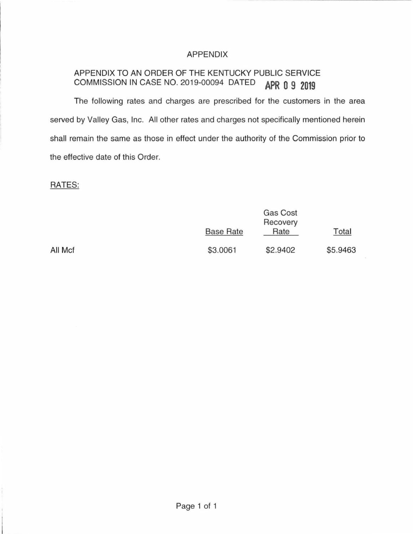## APPENDIX

# APPENDIX TO AN ORDER OF THE KENTUCKY PUBLIC SERVICE COMMISSION IN CASE NO. 2019-00094 DATED **APR 0 g 2019**

The following rates and charges are prescribed for the customers in the area served by Valley Gas, Inc. All other rates and charges not specifically mentioned herein shall remain the same as those in effect under the authority of the Commission prior to the effective date of this Order.

## RATES:

|         | <b>Base Rate</b> | Gas Cost<br>Recovery<br>Rate | Total    |
|---------|------------------|------------------------------|----------|
| All Mcf | \$3.0061         | \$2.9402                     | \$5.9463 |